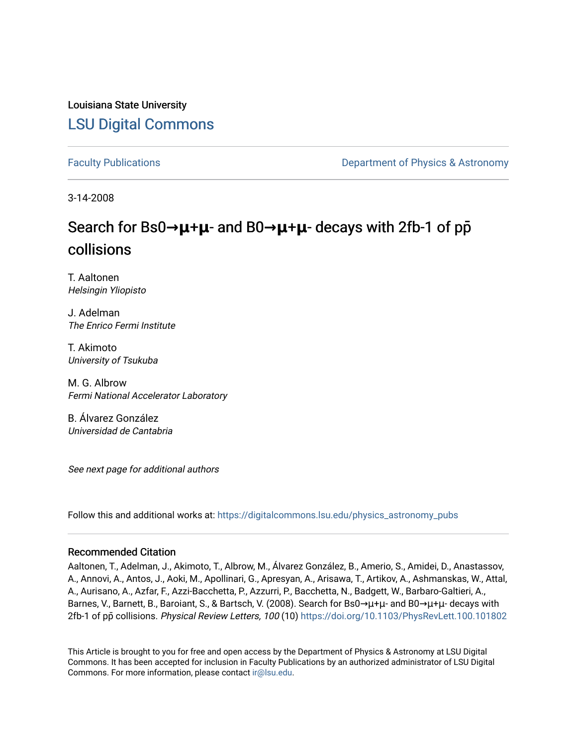## Louisiana State University [LSU Digital Commons](https://digitalcommons.lsu.edu/)

[Faculty Publications](https://digitalcommons.lsu.edu/physics_astronomy_pubs) **Example 2** Constant Department of Physics & Astronomy

3-14-2008

# Search for Bs0→**μ**+**μ**- and B0→**μ**+**μ**- decays with 2fb-1 of pp collisions

T. Aaltonen Helsingin Yliopisto

J. Adelman The Enrico Fermi Institute

T. Akimoto University of Tsukuba

M. G. Albrow Fermi National Accelerator Laboratory

B. Álvarez González Universidad de Cantabria

See next page for additional authors

Follow this and additional works at: [https://digitalcommons.lsu.edu/physics\\_astronomy\\_pubs](https://digitalcommons.lsu.edu/physics_astronomy_pubs?utm_source=digitalcommons.lsu.edu%2Fphysics_astronomy_pubs%2F2513&utm_medium=PDF&utm_campaign=PDFCoverPages) 

#### Recommended Citation

Aaltonen, T., Adelman, J., Akimoto, T., Albrow, M., Álvarez González, B., Amerio, S., Amidei, D., Anastassov, A., Annovi, A., Antos, J., Aoki, M., Apollinari, G., Apresyan, A., Arisawa, T., Artikov, A., Ashmanskas, W., Attal, A., Aurisano, A., Azfar, F., Azzi-Bacchetta, P., Azzurri, P., Bacchetta, N., Badgett, W., Barbaro-Galtieri, A., Barnes, V., Barnett, B., Baroiant, S., & Bartsch, V. (2008). Search for Bs0→μ+μ- and B0→μ+μ- decays with 2fb-1 of pp̄ collisions. Physical Review Letters, 100 (10)<https://doi.org/10.1103/PhysRevLett.100.101802>

This Article is brought to you for free and open access by the Department of Physics & Astronomy at LSU Digital Commons. It has been accepted for inclusion in Faculty Publications by an authorized administrator of LSU Digital Commons. For more information, please contact [ir@lsu.edu](mailto:ir@lsu.edu).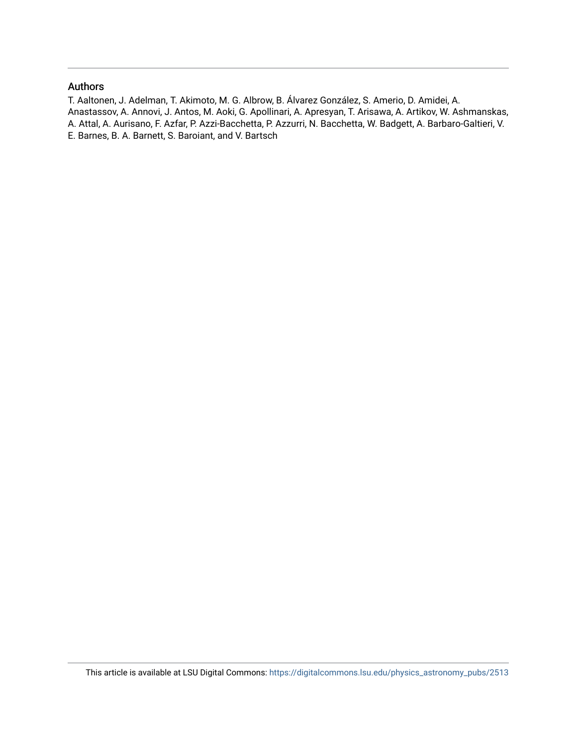#### Authors

T. Aaltonen, J. Adelman, T. Akimoto, M. G. Albrow, B. Álvarez González, S. Amerio, D. Amidei, A. Anastassov, A. Annovi, J. Antos, M. Aoki, G. Apollinari, A. Apresyan, T. Arisawa, A. Artikov, W. Ashmanskas, A. Attal, A. Aurisano, F. Azfar, P. Azzi-Bacchetta, P. Azzurri, N. Bacchetta, W. Badgett, A. Barbaro-Galtieri, V. E. Barnes, B. A. Barnett, S. Baroiant, and V. Bartsch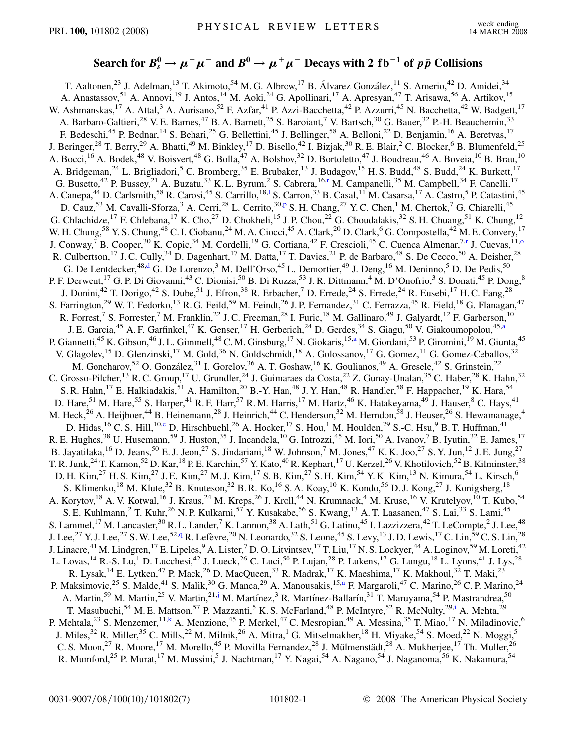### Search for  $B^0_s \to \mu^+\mu^-$  and  $B^0 \to \mu^+\mu^-$  Decays with 2 fb $^{-1}$  of  $p\,\bar{p}$  Collisions

<span id="page-2-9"></span><span id="page-2-8"></span><span id="page-2-7"></span><span id="page-2-6"></span><span id="page-2-5"></span><span id="page-2-4"></span><span id="page-2-3"></span><span id="page-2-2"></span><span id="page-2-1"></span><span id="page-2-0"></span>T. Aaltonen,<sup>23</sup> J. Adelman,<sup>13</sup> T. Akimoto,<sup>54</sup> M. G. Albrow,<sup>17</sup> B. Álvarez González,<sup>11</sup> S. Amerio,<sup>42</sup> D. Amidei,<sup>34</sup> A. Anastassov,<sup>51</sup> A. Annovi,<sup>19</sup> J. Antos,<sup>14</sup> M. Aoki,<sup>24</sup> G. Apollinari,<sup>17</sup> A. Apresyan,<sup>47</sup> T. Arisawa,<sup>56</sup> A. Artikov,<sup>15</sup> W. Ashmanskas,<sup>17</sup> A. Attal,<sup>3</sup> A. Aurisano,<sup>52</sup> F. Azfar,<sup>41</sup> P. Azzi-Bacchetta,<sup>42</sup> P. Azzurri,<sup>45</sup> N. Bacchetta,<sup>42</sup> W. Badgett,<sup>17</sup> A. Barbaro-Galtieri,<sup>28</sup> V. E. Barnes,<sup>47</sup> B. A. Barnett,<sup>25</sup> S. Baroiant,<sup>7</sup> V. Bartsch,<sup>30</sup> G. Bauer,<sup>32</sup> P.-H. Beauchemin,<sup>33</sup> F. Bedeschi,<sup>45</sup> P. Bednar,<sup>14</sup> S. Behari,<sup>25</sup> G. Bellettini,<sup>45</sup> J. Bellinger,<sup>58</sup> A. Belloni,<sup>22</sup> D. Benjamin,<sup>16</sup> A. Beretvas,<sup>17</sup> J. Beringer,<sup>28</sup> T. Berry,<sup>29</sup> A. Bhatti,<sup>49</sup> M. Binkley,<sup>17</sup> D. Bisello,<sup>42</sup> I. Bizjak,<sup>30</sup> R. E. Blair,<sup>2</sup> C. Blocker,<sup>6</sup> B. Blumenfeld,<sup>25</sup> A. Bocci,<sup>16</sup> A. Bodek,<sup>48</sup> V. Boisvert,<sup>48</sup> G. Bolla,<sup>47</sup> A. Bolshov,<sup>32</sup> D. Bortoletto,<sup>47</sup> J. Boudreau,<sup>46</sup> A. Boveia,<sup>10</sup> B. Brau,<sup>10</sup> A. Bridgeman,<sup>24</sup> L. Brigliadori,<sup>5</sup> C. Bromberg,<sup>35</sup> E. Brubaker,<sup>13</sup> J. Budagov,<sup>15</sup> H. S. Budd,<sup>48</sup> S. Budd,<sup>24</sup> K. Burkett,<sup>17</sup> G. Busetto,<sup>42</sup> P. Bussey,<sup>21</sup> A. Buzatu,<sup>33</sup> K. L. By[r](#page-8-0)um,<sup>2</sup> S. Cabrera,<sup>16,r</sup> M. Campanelli,<sup>35</sup> M. Campbell,<sup>34</sup> F. Canelli,<sup>17</sup> A. Canepa,<sup>44</sup> D. Car[l](#page-8-1)smith,<sup>58</sup> R. Carosi,<sup>45</sup> S. Carrillo,<sup>18,1</sup> S. Carron,<sup>33</sup> B. Casal,<sup>11</sup> M. Casarsa,<sup>17</sup> A. Castro,<sup>5</sup> P. Catastini,<sup>45</sup> D. Cauz,<sup>53</sup> M. Cavalli-Sforza,<sup>3</sup> A. Cerri,<sup>28</sup> L. Cerrito,<sup>30[,p](#page-8-2)</sup> S. H. Chang,<sup>27</sup> Y. C. Chen,<sup>1</sup> M. Chertok,<sup>7</sup> G. Chiarelli,<sup>45</sup> G. Chlachidze,<sup>17</sup> F. Chlebana,<sup>17</sup> K. Cho,<sup>27</sup> D. Chokheli,<sup>15</sup> J. P. Chou,<sup>22</sup> G. Choudalakis,<sup>32</sup> S. H. Chuang,<sup>51</sup> K. Chung,<sup>12</sup> W. H. Chung,<sup>58</sup> Y. S. Chung,<sup>48</sup> C. I. Ciobanu,<sup>24</sup> M. A. Ciocci,<sup>45</sup> A. Clark,<sup>20</sup> D. Clark,<sup>6</sup> G. Compostella,<sup>42</sup> M. E. Convery,<sup>17</sup> J. Conway,<sup>7</sup> B. Cooper,<sup>30</sup> K. Copic,<sup>34</sup> M. Cordelli,<sup>19</sup> G. Cortiana,<sup>42</sup> F. Crescioli,<sup>45</sup> C. Cuenca Almenar,<sup>7[,r](#page-8-0)</sup> J. Cuevas,<sup>11[,o](#page-8-3)</sup> R. Culbertson,<sup>17</sup> J. C. Cully,<sup>34</sup> D. Dagenhart,<sup>17</sup> M. Datta,<sup>17</sup> T. Davies,<sup>21</sup> P. de Barbaro,<sup>48</sup> S. De Cecco,<sup>50</sup> A. Deisher,<sup>28</sup> G. De Lentdecker,<sup>48[,d](#page-8-4)</sup> G. De Lorenzo,<sup>3</sup> M. Dell'Orso,<sup>45</sup> L. Demortier,<sup>49</sup> J. Deng,<sup>16</sup> M. Deninno,<sup>5</sup> D. De Pedis,<sup>50</sup> P. F. Derwent, <sup>17</sup> G. P. Di Giovanni, <sup>43</sup> C. Dionisi, <sup>50</sup> B. Di Ruzza, <sup>53</sup> J. R. Dittmann, <sup>4</sup> M. D'Onofrio, <sup>3</sup> S. Donati, <sup>45</sup> P. Dong, <sup>8</sup> J. Donini,<sup>42</sup> T. Dorigo,<sup>42</sup> S. Dube,<sup>51</sup> J. Efron,<sup>38</sup> R. Erbacher,<sup>7</sup> D. Errede,<sup>24</sup> S. Errede,<sup>24</sup> R. Eusebi,<sup>17</sup> H. C. Fang,<sup>28</sup> S. Farrington,<sup>29</sup> W. T. Fedorko,<sup>13</sup> R. G. Feild,<sup>59</sup> M. Feindt,<sup>26</sup> J. P. Fernandez,<sup>31</sup> C. Ferrazza,<sup>45</sup> R. Field,<sup>18</sup> G. Flanagan,<sup>47</sup> R. Forrest,<sup>7</sup> S. Forrester,<sup>7</sup> M. Franklin,<sup>22</sup> J. C. Freeman,<sup>28</sup> I. Furic,<sup>18</sup> M. Gallinaro,<sup>49</sup> J. Galyardt,<sup>12</sup> F. Garberson,<sup>10</sup> J. E. Garcia,<sup>45</sup> A. F. Garfinkel,<sup>47</sup> K. Genser,<sup>17</sup> H. Gerberich,<sup>24</sup> D. Gerdes,<sup>34</sup> S. Giagu,<sup>50</sup> V. Giakoumopolou,<sup>45[,a](#page-8-5)</sup> P. Gi[a](#page-8-5)nnetti,<sup>45</sup> K. Gibson,<sup>46</sup> J. L. Gimmell,<sup>48</sup> C. M. Ginsburg,<sup>17</sup> N. Giokaris,<sup>15,a</sup> M. Giordani,<sup>53</sup> P. Giromini,<sup>19</sup> M. Giunta,<sup>45</sup> V. Glagolev,<sup>15</sup> D. Glenzinski,<sup>17</sup> M. Gold,<sup>36</sup> N. Goldschmidt,<sup>18</sup> A. Golossanov,<sup>17</sup> G. Gomez,<sup>11</sup> G. Gomez-Ceballos,<sup>32</sup> M. Goncharov,<sup>52</sup> O. González,<sup>31</sup> I. Gorelov,<sup>36</sup> A. T. Goshaw,<sup>16</sup> K. Goulianos,<sup>49</sup> A. Gresele,<sup>42</sup> S. Grinstein,<sup>22</sup> C. Grosso-Pilcher,<sup>13</sup> R. C. Group,<sup>17</sup> U. Grundler,<sup>24</sup> J. Guimaraes da Costa,<sup>22</sup> Z. Gunay-Unalan,<sup>35</sup> C. Haber,<sup>28</sup> K. Hahn,<sup>32</sup> S. R. Hahn,<sup>17</sup> E. Halkiadakis,<sup>51</sup> A. Hamilton,<sup>20</sup> B.-Y. Han,<sup>48</sup> J. Y. Han,<sup>48</sup> R. Handler,<sup>58</sup> F. Happacher,<sup>19</sup> K. Hara,<sup>54</sup> D. Hare,<sup>51</sup> M. Hare,<sup>55</sup> S. Harper,<sup>41</sup> R. F. Harr,<sup>57</sup> R. M. Harris,<sup>17</sup> M. Hartz,<sup>46</sup> K. Hatakeyama,<sup>49</sup> J. Hauser,<sup>8</sup> C. Hays,<sup>41</sup> M. Heck,<sup>26</sup> A. Heijboer,<sup>44</sup> B. Heinemann,<sup>28</sup> J. Heinrich,<sup>44</sup> C. Henderson,<sup>32</sup> M. Herndon,<sup>58</sup> J. Heuser,<sup>26</sup> S. Hewamanage,<sup>4</sup> D. Hidas, <sup>16</sup> C. S. Hill, <sup>10,[c](#page-8-6)</sup> D. Hirschbuehl, <sup>26</sup> A. Hocker, <sup>17</sup> S. Hou, <sup>1</sup> M. Houlden, <sup>29</sup> S.-C. Hsu, <sup>9</sup> B. T. Huffman, <sup>41</sup> R. E. Hughes,<sup>38</sup> U. Husemann,<sup>59</sup> J. Huston,<sup>35</sup> J. Incandela,<sup>10</sup> G. Introzzi,<sup>45</sup> M. Iori,<sup>50</sup> A. Ivanov,<sup>7</sup> B. Iyutin,<sup>32</sup> E. James,<sup>17</sup> B. Jayatilaka, <sup>16</sup> D. Jeans, <sup>50</sup> E. J. Jeon, <sup>27</sup> S. Jindariani, <sup>18</sup> W. Johnson, <sup>7</sup> M. Jones, <sup>47</sup> K. K. Joo, <sup>27</sup> S. Y. Jun, <sup>12</sup> J. E. Jung, <sup>27</sup> T. R. Junk,<sup>24</sup> T. Kamon,<sup>52</sup> D. Kar,<sup>18</sup> P. E. Karchin,<sup>57</sup> Y. Kato,<sup>40</sup> R. Kephart,<sup>17</sup> U. Kerzel,<sup>26</sup> V. Khotilovich,<sup>52</sup> B. Kilminster,<sup>38</sup> D. H. Kim,<sup>27</sup> H. S. Kim,<sup>27</sup> J. E. Kim,<sup>27</sup> M. J. Kim,<sup>17</sup> S. B. Kim,<sup>27</sup> S. H. Kim,<sup>54</sup> Y. K. Kim,<sup>13</sup> N. Kimura,<sup>54</sup> L. Kirsch,<sup>6</sup> S. Klimenko,<sup>18</sup> M. Klute,<sup>32</sup> B. Knuteson,<sup>32</sup> B. R. Ko,<sup>16</sup> S. A. Koay,<sup>10</sup> K. Kondo,<sup>56</sup> D. J. Kong,<sup>27</sup> J. Konigsberg,<sup>18</sup> A. Korytov,<sup>18</sup> A. V. Kotwal,<sup>16</sup> J. Kraus,<sup>24</sup> M. Kreps,<sup>26</sup> J. Kroll,<sup>44</sup> N. Krumnack,<sup>4</sup> M. Kruse,<sup>16</sup> V. Krutelyov,<sup>10</sup> T. Kubo,<sup>54</sup> S. E. Kuhlmann,<sup>2</sup> T. Kuhr,<sup>26</sup> N. P. Kulkarni,<sup>57</sup> Y. Kusakabe,<sup>56</sup> S. Kwang,<sup>13</sup> A. T. Laasanen,<sup>47</sup> S. Lai,<sup>33</sup> S. Lami,<sup>45</sup> S. Lammel,<sup>17</sup> M. Lancaster,<sup>30</sup> R. L. Lander,<sup>7</sup> K. Lannon,<sup>38</sup> A. Lath,<sup>51</sup> G. Latino,<sup>45</sup> I. Lazzizzera,<sup>42</sup> T. LeCompte,<sup>2</sup> J. Lee,<sup>48</sup> J. Lee,<sup>27</sup> Y. J. Lee,<sup>27</sup> S. W. Lee,<sup>52,[q](#page-8-7)</sup> R. Lefèvre,<sup>20</sup> N. Leonardo,<sup>32</sup> S. Leone,<sup>45</sup> S. Levy,<sup>13</sup> J. D. Lewis,<sup>17</sup> C. Lin,<sup>59</sup> C. S. Lin,<sup>28</sup> J. Linacre,<sup>41</sup> M. Lindgren,<sup>17</sup> E. Lipeles,<sup>9</sup> A. Lister,<sup>7</sup> D. O. Litvintsev,<sup>17</sup> T. Liu,<sup>17</sup> N. S. Lockyer,<sup>44</sup> A. Loginov,<sup>59</sup> M. Loreti,<sup>42</sup> L. Lovas, <sup>14</sup> R.-S. Lu, <sup>1</sup> D. Lucchesi, <sup>42</sup> J. Lueck, <sup>26</sup> C. Luci, <sup>50</sup> P. Lujan, <sup>28</sup> P. Lukens, <sup>17</sup> G. Lungu, <sup>18</sup> L. Lyons, <sup>41</sup> J. Lys, <sup>28</sup> R. Lysak,<sup>14</sup> E. Lytken,<sup>47</sup> P. Mack,<sup>26</sup> D. MacQueen,<sup>33</sup> R. Madrak,<sup>17</sup> K. Maeshima,<sup>17</sup> K. Makhoul,<sup>32</sup> T. Maki,<sup>23</sup> P. M[a](#page-8-5)ksimovic,<sup>25</sup> S. Malde,<sup>41</sup> S. Malik,<sup>30</sup> G. Manca,<sup>29</sup> A. Manousakis,<sup>15,a</sup> F. Margaroli,<sup>47</sup> C. Marino,<sup>26</sup> C. P. Marino,<sup>24</sup> A. Martin,<sup>59</sup> M. Martin,<sup>25</sup> V. Martin,<sup>21,[j](#page-8-8)</sup> M. Martínez,<sup>3</sup> R. Martínez-Ballarín,<sup>31</sup> T. Maruyama,<sup>54</sup> P. Mastrandrea,<sup>50</sup> T. Masubuchi,<sup>54</sup> M. E. Mattson,<sup>57</sup> P. Mazzanti,<sup>5</sup> K. S. McFarland,<sup>48</sup> P. McIntyre,<sup>52</sup> R. McNulty,<sup>29[,i](#page-8-9)</sup> A. Mehta,<sup>29</sup> P. Mehtala,<sup>23</sup> S. Menzemer,<sup>11[,k](#page-8-10)</sup> A. Menzione,<sup>45</sup> P. Merkel,<sup>47</sup> C. Mesropian,<sup>49</sup> A. Messina,<sup>35</sup> T. Miao,<sup>17</sup> N. Miladinovic,<sup>6</sup> J. Miles,<sup>32</sup> R. Miller,<sup>35</sup> C. Mills,<sup>22</sup> M. Milnik,<sup>26</sup> A. Mitra,<sup>1</sup> G. Mitselmakher,<sup>18</sup> H. Miyake,<sup>54</sup> S. Moed,<sup>22</sup> N. Moggi,<sup>5</sup> C. S. Moon,<sup>27</sup> R. Moore,<sup>17</sup> M. Morello,<sup>45</sup> P. Movilla Fernandez,<sup>28</sup> J. Mülmenstädt,<sup>28</sup> A. Mukherjee,<sup>17</sup> Th. Muller,<sup>26</sup> R. Mumford,<sup>25</sup> P. Murat,<sup>17</sup> M. Mussini,<sup>5</sup> J. Nachtman,<sup>17</sup> Y. Nagai,<sup>54</sup> A. Nagano,<sup>54</sup> J. Naganoma,<sup>56</sup> K. Nakamura,<sup>54</sup>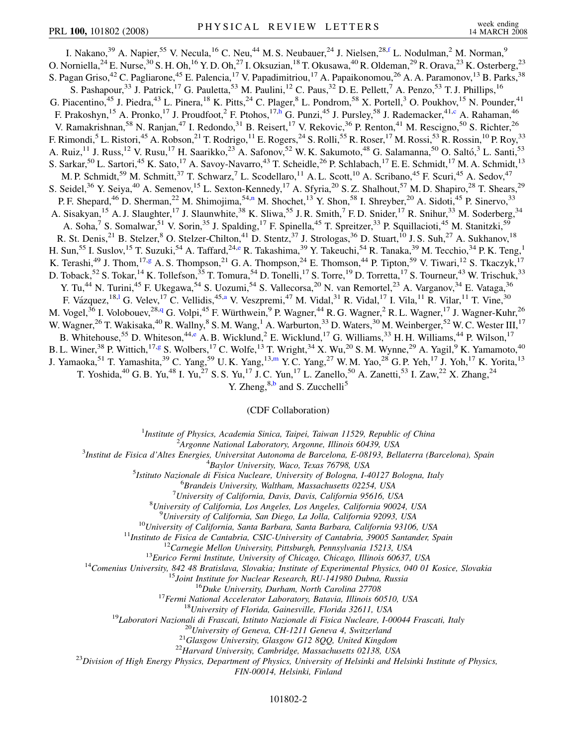<span id="page-3-6"></span><span id="page-3-4"></span><span id="page-3-2"></span>I. Nakano,<sup>39</sup> A. Napier,<sup>55</sup> V. Necula,<sup>16</sup> C. Neu,<sup>44</sup> M. S. Neubauer,<sup>24</sup> J. Nielsen,<sup>28,[f](#page-8-11)</sup> L. Nodulman,<sup>2</sup> M. Norman,<sup>9</sup> O. Norniella,<sup>24</sup> E. Nurse,<sup>30</sup> S. H. Oh,<sup>16</sup> Y. D. Oh,<sup>27</sup> I. Oksuzian,<sup>18</sup> T. Okusawa,<sup>40</sup> R. Oldeman,<sup>29</sup> R. Orava,<sup>23</sup> K. Osterberg,<sup>23</sup> S. Pagan Griso,<sup>42</sup> C. Pagliarone,<sup>45</sup> E. Palencia,<sup>17</sup> V. Papadimitriou,<sup>17</sup> A. Papaikonomou,<sup>26</sup> A. A. Paramonov,<sup>13</sup> B. Parks,<sup>38</sup> S. Pashapour,<sup>33</sup> J. Patrick,<sup>17</sup> G. Pauletta,<sup>53</sup> M. Paulini,<sup>12</sup> C. Paus,<sup>32</sup> D. E. Pellett,<sup>7</sup> A. Penzo,<sup>53</sup> T. J. Phillips,<sup>16</sup> G. Piacentino,<sup>45</sup> J. Piedra,<sup>43</sup> L. Pinera,<sup>18</sup> K. Pitts,<sup>24</sup> C. Plager,<sup>8</sup> L. Pondrom,<sup>58</sup> X. Portell,<sup>3</sup> O. Poukhov,<sup>15</sup> N. Pounder,<sup>41</sup> F. Prakos[h](#page-8-12)yn,<sup>15</sup> A. Pronko,<sup>17</sup> J. Proudfoot,<sup>2</sup> F. Ptohos,<sup>17,h</sup> G. Punzi,<sup>45</sup> J. Pursley,<sup>58</sup> J. Rademacker,<sup>41[,c](#page-8-6)</sup> A. Rahaman,<sup>46</sup> V. Ramakrishnan,<sup>58</sup> N. Ranjan,<sup>47</sup> I. Redondo,<sup>31</sup> B. Reisert,<sup>17</sup> V. Rekovic,<sup>36</sup> P. Renton,<sup>41</sup> M. Rescigno,<sup>50</sup> S. Richter,<sup>26</sup> F. Rimondi,<sup>5</sup> L. Ristori,<sup>45</sup> A. Robson,<sup>21</sup> T. Rodrigo,<sup>11</sup> E. Rogers,<sup>24</sup> S. Rolli,<sup>55</sup> R. Roser,<sup>17</sup> M. Rossi,<sup>53</sup> R. Rossin,<sup>10</sup> P. Roy,<sup>33</sup> A. Ruiz,<sup>11</sup> J. Russ,<sup>12</sup> V. Rusu,<sup>17</sup> H. Saarikko,<sup>23</sup> A. Safonov,<sup>52</sup> W. K. Sakumoto,<sup>48</sup> G. Salamanna,<sup>50</sup> O. Saltó,<sup>3</sup> L. Santi,<sup>53</sup> S. Sarkar,<sup>50</sup> L. Sartori,<sup>45</sup> K. Sato,<sup>17</sup> A. Savoy-Navarro,<sup>43</sup> T. Scheidle,<sup>26</sup> P. Schlabach,<sup>17</sup> E. E. Schmidt,<sup>17</sup> M. A. Schmidt,<sup>13</sup> M. P. Schmidt,<sup>59</sup> M. Schmitt,<sup>37</sup> T. Schwarz,<sup>7</sup> L. Scodellaro,<sup>11</sup> A. L. Scott,<sup>10</sup> A. Scribano,<sup>45</sup> F. Scuri,<sup>45</sup> A. Sedov,<sup>47</sup> S. Seidel,<sup>36</sup> Y. Seiya,<sup>40</sup> A. Semenov,<sup>15</sup> L. Sexton-Kennedy,<sup>17</sup> A. Sfyria,<sup>20</sup> S. Z. Shalhout,<sup>57</sup> M. D. Shapiro,<sup>28</sup> T. Shears,<sup>29</sup> P. F. Shepard,<sup>46</sup> D. Sherman,<sup>22</sup> M. Shimojima,<sup>54[,n](#page-8-13)</sup> M. Shochet,<sup>13</sup> Y. Shon,<sup>58</sup> I. Shreyber,<sup>20</sup> A. Sidoti,<sup>45</sup> P. Sinervo,<sup>33</sup> A. Sisakyan,<sup>15</sup> A. J. Slaughter,<sup>17</sup> J. Slaunwhite,<sup>38</sup> K. Sliwa,<sup>55</sup> J. R. Smith,<sup>7</sup> F. D. Snider,<sup>17</sup> R. Snihur,<sup>33</sup> M. Soderberg,<sup>34</sup> A. Soha,<sup>7</sup> S. Somalwar,<sup>51</sup> V. Sorin,<sup>35</sup> J. Spalding,<sup>17</sup> F. Spinella,<sup>45</sup> T. Spreitzer,<sup>33</sup> P. Squillacioti,<sup>45</sup> M. Stanitzki,<sup>59</sup> R. St. Denis,<sup>21</sup> B. Stelzer,<sup>8</sup> O. Stelzer-Chilton,<sup>41</sup> D. Stentz,<sup>37</sup> J. Strologas,<sup>36</sup> D. Stuart,<sup>10</sup> J. S. Suh,<sup>27</sup> A. Sukhanov,<sup>18</sup> H. Sun,<sup>55</sup> I. Suslov,<sup>15</sup> T. Suzuki,<sup>54</sup> A. Taffard,<sup>24[,e](#page-8-14)</sup> R. Takashima,<sup>39</sup> Y. Takeuchi,<sup>54</sup> R. Tanaka,<sup>39</sup> M. Tecchio,<sup>34</sup> P. K. Teng,<sup>1</sup> K. Terashi,<sup>49</sup> J. Thom,<sup>17[,g](#page-8-15)</sup> A. S. Thompson,<sup>21</sup> G. A. Thompson,<sup>24</sup> E. Thomson,<sup>44</sup> P. Tipton,<sup>59</sup> V. Tiwari,<sup>12</sup> S. Tkaczyk,<sup>17</sup> D. Toback,<sup>52</sup> S. Tokar,<sup>14</sup> K. Tollefson,<sup>35</sup> T. Tomura,<sup>54</sup> D. Tonelli,<sup>17</sup> S. Torre,<sup>19</sup> D. Torretta,<sup>17</sup> S. Tourneur,<sup>43</sup> W. Trischuk,<sup>33</sup> Y. Tu,<sup>44</sup> N. Turini,<sup>45</sup> F. Ukegawa,<sup>54</sup> S. Uozumi,<sup>54</sup> S. Vallecorsa,<sup>20</sup> N. van Remortel,<sup>23</sup> A. Varganov,<sup>34</sup> E. Vataga,<sup>36</sup> F. Vázquez, <sup>18,1</sup> G. Velev, <sup>17</sup> C. Vellidis, <sup>45[,a](#page-8-5)</sup> V. Veszpremi, <sup>47</sup> M. Vidal, <sup>31</sup> R. Vidal, <sup>17</sup> I. Vila, <sup>11</sup> R. Vilar, <sup>11</sup> T. Vine, <sup>30</sup> M. Vogel,<sup>36</sup> I. Volobouev,<sup>28,[q](#page-8-7)</sup> G. Volpi,<sup>45</sup> F. Würthwein,<sup>9</sup> P. Wagner,<sup>44</sup> R. G. Wagner,<sup>2</sup> R. L. Wagner,<sup>17</sup> J. Wagner-Kuhr,<sup>26</sup> W. Wagner,<sup>26</sup> T. Wakisaka,<sup>40</sup> R. Wallny,<sup>8</sup> S. M. Wang,<sup>1</sup> A. Warburton,<sup>33</sup> D. Waters,<sup>30</sup> M. Weinberger,<sup>52</sup> W. C. Wester III,<sup>17</sup> B. Whitehouse,<sup>55</sup> D. Whiteson,<sup>44[,e](#page-8-14)</sup> A. B. Wicklund,<sup>2</sup> E. Wicklund,<sup>17</sup> G. Williams,<sup>33</sup> H. H. Williams,<sup>44</sup> P. Wilson,<sup>17</sup> B. L. Winer,<sup>38</sup> P. Wittich,<sup>17[,g](#page-8-15)</sup> S. Wolbers,<sup>17</sup> C. Wolfe,<sup>13</sup> T. Wright,<sup>34</sup> X. Wu,<sup>20</sup> S. M. Wynne,<sup>29</sup> A. Yagil,<sup>9</sup> K. Yamamoto,<sup>40</sup> J. Ya[m](#page-8-16)aoka,<sup>51</sup> T. Yamashita,<sup>39</sup> C. Yang,<sup>59</sup> U.K. Yang,<sup>13,m</sup> Y.C. Yang,<sup>27</sup> W.M. Yao,<sup>28</sup> G.P. Yeh,<sup>17</sup> J. Yoh,<sup>17</sup> K. Yorita,<sup>13</sup> T. Yoshida,<sup>40</sup> G. B. Yu,<sup>48</sup> I. Yu,<sup>27</sup> S. S. Yu,<sup>17</sup> J. C. Yun,<sup>17</sup> L. Zanello,<sup>50</sup> A. Zanetti,<sup>53</sup> I. Zaw,<sup>22</sup> X. Zhang,<sup>24</sup>

Y. Zheng,  $8,b$  $8,b$  and S. Zucchelli<sup>5</sup>

#### (CDF Collaboration)

<sup>1</sup>*Institute of Physics, Academia Sinica, Taipei, Taiwan 11529, Republic of China*<br><sup>2</sup><sup>4</sup> *League Mational Laboratory, Argonna Illinois 60430, USA* 

*Argonne National Laboratory, Argonne, Illinois 60439, USA* <sup>3</sup>

<span id="page-3-5"></span><span id="page-3-3"></span><span id="page-3-1"></span><span id="page-3-0"></span>*Institut de Fisica d'Altes Energies, Universitat Autonoma de Barcelona, E-08193, Bellaterra (Barcelona), Spain* <sup>4</sup>

<sup>4</sup>Baylor University, Waco, Texas 76798, USA<br><sup>5</sup> Istitute Nazionale di Eisica Nucleare, University of Bologna, La

*Istituto Nazionale di Fisica Nucleare, University of Bologna, I-40127 Bologna, Italy* <sup>6</sup>

*Brandeis University, Waltham, Massachusetts 02254, USA* <sup>7</sup>

*University of California, Davis, Davis, California 95616, USA* <sup>8</sup>

*University of California, Los Angeles, Los Angeles, California 90024, USA* <sup>9</sup>

<sup>9</sup>University of California, San Diego, La Jolla, California 92093, USA<br><sup>10</sup>University of California, Santa Barbara, Santa Barbara, California 93106, USA<br><sup>11</sup>Instituto de Fisica de Cantabria, CSIC-University of Cantabria,

*FIN-00014, Helsinki, Finland*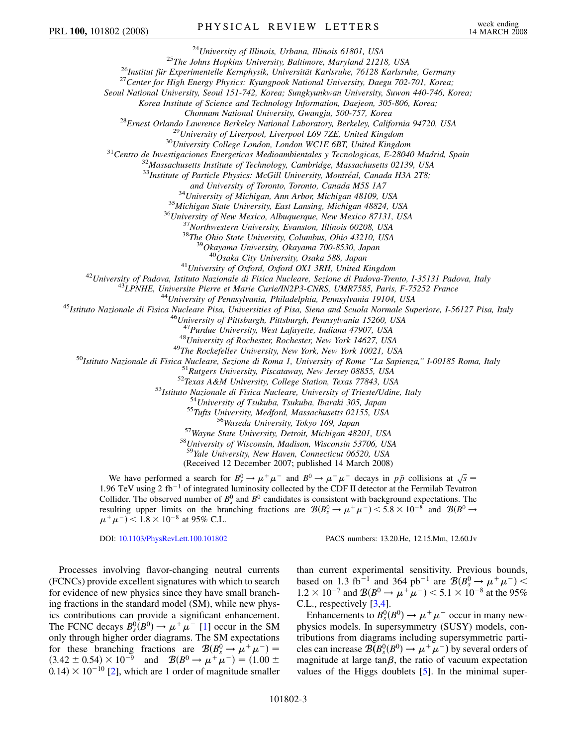<sup>24</sup>University of Illinois, Urbana, Illinois 61801, USA<br><sup>25</sup>The Johns Hopkins University, Baltimore, Maryland 21218, USA<br><sup>26</sup>Institut für Experimentelle Kernphysik, Universität Karlsruhe, 76128 Karlsruhe, Germany<br><sup>27</sup>Cent

*Seoul National University, Seoul 151-742, Korea; Sungkyunkwan University, Suwon 440-746, Korea;*

*Korea Institute of Science and Technology Information, Daejeon, 305-806, Korea;*

Chonnam National University, Gwangju, 500-757, Korea<br><sup>28</sup>Ernest Orlando Lawrence Berkeley National Laboratory, Berkeley, California 94720, USA<br><sup>29</sup>University of Liverpool, Liverpool L69 7ZE, United Kingdom<br><sup>30</sup>University

<sup>33</sup>*Institute of Particle Physics: McGill University, Montréal, Canada H3A 2T8;*<br>and University of Toronto, Toronto, Canada M5S 1A7

<sup>34</sup>University of Michigan, Ann Arbor, Michigan 48109, USA<br><sup>35</sup>Michigan State University, East Lansing, Michigan 48824, USA<br><sup>36</sup>University of New Mexico, Albuquerque, New Mexico 87131, USA<br><sup>37</sup>Northwestern University, Eva

<sup>41</sup>University of Oxford, Oxford OX1 3RH, United Kingdom<br><sup>42</sup>University of Padova, Istituto Nazionale di Fisica Nucleare, Sezione di Padova-Trento, I-35131 Padova, Italy<br><sup>43</sup>LPNHE, Universite Pierre et Marie Curie/IN2P3-C

<sup>47</sup>Purdue University, West Lafayette, Indiana 47907, USA<br><sup>48</sup>University of Rochester, Rochester, New York 14627, USA<br><sup>48</sup>University of Rochester, Rochester, New York 14627, USA<br><sup>50</sup>Istituto Nazionale di Fisica Nucleare,

<sup>59</sup>*Yale University, New Haven, Connecticut 06520, USA*

(Received 12 December 2007; published 14 March 2008)

We have performed a search for  $B_s^0 \to \mu^+ \mu^-$  and  $B^0 \to \mu^+ \mu^-$  decays in  $p\bar{p}$  collisions at  $\sqrt{s}$ 1.96 TeV using 2 fb<sup>-1</sup> of integrated luminosity collected by the CDF II detector at the Fermilab Tevatron Collider. The observed number of  $B_s^0$  and  $B^0$  candidates is consistent with background expectations. The resulting upper limits on the branching fractions are  $\mathcal{B}(B_s^0 \to \mu^+ \mu^-)$  < 5.8 × 10<sup>-8</sup> and  $\mathcal{B}(B^0 \to$  $(\mu^+ \mu^-)$  < 1.8 × 10<sup>-8</sup> at 95% C.L.

DOI: [10.1103/PhysRevLett.100.101802](http://dx.doi.org/10.1103/PhysRevLett.100.101802) PACS numbers: 13.20.He, 12.15.Mm, 12.60.Jv

Processes involving flavor-changing neutral currents (FCNCs) provide excellent signatures with which to search for evidence of new physics since they have small branching fractions in the standard model (SM), while new physics contributions can provide a significant enhancement. The FCNC decays  $B_s^0(B^0) \to \mu^+ \mu^-$  [\[1](#page-8-18)] occur in the SM only through higher order diagrams. The SM expectations for these branching fractions are  $\mathcal{B}(B_s^0 \to \mu^+ \mu^-) =$  $(3.42 \pm 0.54) \times 10^{-9}$  and  $\mathcal{B}(B^0 \to \mu^+ \mu^-) = (1.00 \pm 0.00)$  $(0.14) \times 10^{-10}$  [[2\]](#page-8-19), which are 1 order of magnitude smaller

than current experimental sensitivity. Previous bounds, based on 1.3 fb<sup>-1</sup> and 364 pb<sup>-1</sup> are  $\mathcal{B}(B_s^0 \to \mu^+ \mu^-)$  <  $1.2 \times 10^{-7}$  and  $\mathcal{B}(B^0 \to \mu^+ \mu^-)$  < 5.1 × 10<sup>-8</sup> at the 95% C.L., respectively [\[3](#page-8-20)[,4](#page-8-21)].

Enhancements to  $B_s^0(B^0) \to \mu^+\mu^-$  occur in many newphysics models. In supersymmetry (SUSY) models, contributions from diagrams including supersymmetric particles can increase  $\mathcal{B}(B_s^0(B^0) \to \mu^+\mu^-)$  by several orders of magnitude at large tan $\beta$ , the ratio of vacuum expectation values of the Higgs doublets [[5\]](#page-8-22). In the minimal super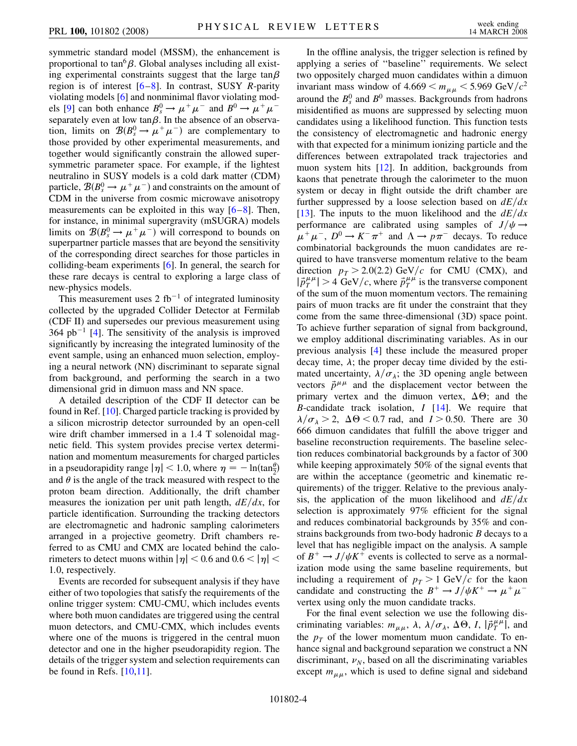symmetric standard model (MSSM), the enhancement is proportional to  $tan^6\beta$ . Global analyses including all existing experimental constraints suggest that the large  $tan \beta$ region is of interest [\[6](#page-8-23)–[8\]](#page-8-24). In contrast, SUSY *R*-parity violating models [[6\]](#page-8-23) and nonminimal flavor violating mod-els [[9](#page-8-25)] can both enhance  $B_s^0 \rightarrow \mu^+ \mu^-$  and  $B^0 \rightarrow \mu^+ \mu^$ separately even at low  $tan \beta$ . In the absence of an observation, limits on  $\mathcal{B}(B_s^0 \to \mu^+ \mu^-)$  are complementary to those provided by other experimental measurements, and together would significantly constrain the allowed supersymmetric parameter space. For example, if the lightest neutralino in SUSY models is a cold dark matter (CDM) particle,  $\mathcal{B}(B_s^0 \to \mu^+ \mu^-)$  and constraints on the amount of CDM in the universe from cosmic microwave anisotropy measurements can be exploited in this way  $[6-8]$  $[6-8]$  $[6-8]$ . Then, for instance, in minimal supergravity (mSUGRA) models limits on  $\mathcal{B}(B_s^0 \to \mu^+ \mu^-)$  will correspond to bounds on superpartner particle masses that are beyond the sensitivity of the corresponding direct searches for those particles in colliding-beam experiments [\[6\]](#page-8-23). In general, the search for these rare decays is central to exploring a large class of new-physics models.

This measurement uses  $2$  fb<sup>-1</sup> of integrated luminosity collected by the upgraded Collider Detector at Fermilab (CDF II) and supersedes our previous measurement using  $364$  $364$  pb<sup>-1</sup> [4]. The sensitivity of the analysis is improved significantly by increasing the integrated luminosity of the event sample, using an enhanced muon selection, employing a neural network (NN) discriminant to separate signal from background, and performing the search in a two dimensional grid in dimuon mass and NN space.

A detailed description of the CDF II detector can be found in Ref. [\[10](#page-8-26)]. Charged particle tracking is provided by a silicon microstrip detector surrounded by an open-cell wire drift chamber immersed in a 1.4 T solenoidal magnetic field. This system provides precise vertex determination and momentum measurements for charged particles in a pseudorapidity range  $|\eta|$  < 1.0, where  $\eta = -\ln(\tan^{\theta} \frac{1}{2})$ and  $\theta$  is the angle of the track measured with respect to the proton beam direction. Additionally, the drift chamber measures the ionization per unit path length,  $dE/dx$ , for particle identification. Surrounding the tracking detectors are electromagnetic and hadronic sampling calorimeters arranged in a projective geometry. Drift chambers referred to as CMU and CMX are located behind the calorimeters to detect muons within  $|\eta|$  < 0.6 and 0.6 <  $|\eta|$  < 1*:*0, respectively.

Events are recorded for subsequent analysis if they have either of two topologies that satisfy the requirements of the online trigger system: CMU-CMU, which includes events where both muon candidates are triggered using the central muon detectors, and CMU-CMX, which includes events where one of the muons is triggered in the central muon detector and one in the higher pseudorapidity region. The details of the trigger system and selection requirements can be found in Refs.  $[10,11]$  $[10,11]$  $[10,11]$  $[10,11]$  $[10,11]$ .

In the offline analysis, the trigger selection is refined by applying a series of ''baseline'' requirements. We select two oppositely charged muon candidates within a dimuon invariant mass window of  $4.669 < m_{\mu\mu} < 5.969 \text{ GeV}/c^2$ around the  $B_s^0$  and  $B^0$  masses. Backgrounds from hadrons misidentified as muons are suppressed by selecting muon candidates using a likelihood function. This function tests the consistency of electromagnetic and hadronic energy with that expected for a minimum ionizing particle and the differences between extrapolated track trajectories and muon system hits [[12](#page-8-28)]. In addition, backgrounds from kaons that penetrate through the calorimeter to the muon system or decay in flight outside the drift chamber are further suppressed by a loose selection based on  $dE/dx$ [\[13\]](#page-8-29). The inputs to the muon likelihood and the  $dE/dx$ performance are calibrated using samples of  $J/\psi \rightarrow$  $\mu^+ \mu^-$ ,  $D^0 \rightarrow K^- \pi^+$  and  $\Lambda \rightarrow p \pi^-$  decays. To reduce combinatorial backgrounds the muon candidates are required to have transverse momentum relative to the beam direction  $p_T > 2.0(2.2)$  GeV/c for CMU (CMX), and  $|\vec{p}_T^{\mu\mu}| > 4$  GeV/c, where  $\vec{p}_T^{\mu\mu}$  is the transverse component of the sum of the muon momentum vectors. The remaining pairs of muon tracks are fit under the constraint that they come from the same three-dimensional (3D) space point. To achieve further separation of signal from background, we employ additional discriminating variables. As in our previous analysis [[4\]](#page-8-21) these include the measured proper decay time,  $\lambda$ ; the proper decay time divided by the estimated uncertainty,  $\lambda/\sigma_{\lambda}$ ; the 3D opening angle between vectors  $\vec{p}^{\mu\mu}$  and the displacement vector between the primary vertex and the dimuon vertex,  $\Delta\Theta$ ; and the *B*-candidate track isolation, *I* [\[14\]](#page-8-30). We require that  $\lambda/\sigma_{\lambda} > 2$ ,  $\Delta \Theta < 0.7$  rad, and  $I > 0.50$ . There are 30 666 dimuon candidates that fulfill the above trigger and baseline reconstruction requirements. The baseline selection reduces combinatorial backgrounds by a factor of 300 while keeping approximately 50% of the signal events that are within the acceptance (geometric and kinematic requirements) of the trigger. Relative to the previous analysis, the application of the muon likelihood and  $dE/dx$ selection is approximately 97% efficient for the signal and reduces combinatorial backgrounds by 35% and constrains backgrounds from two-body hadronic *B* decays to a level that has negligible impact on the analysis. A sample of  $B^+ \rightarrow J/\psi K^+$  events is collected to serve as a normalization mode using the same baseline requirements, but including a requirement of  $p<sub>T</sub> > 1$  GeV/c for the kaon candidate and constructing the  $B^+ \to J/\psi K^+ \to \mu^+ \mu^$ vertex using only the muon candidate tracks.

For the final event selection we use the following discriminating variables:  $m_{\mu\mu}$ ,  $\lambda$ ,  $\lambda/\sigma_{\lambda}$ ,  $\Delta\Theta$ , *I*,  $|\vec{p}_T^{\mu\mu}|$ , and the  $p_T$  of the lower momentum muon candidate. To enhance signal and background separation we construct a NN discriminant,  $\nu_N$ , based on all the discriminating variables except  $m_{\mu\mu}$ , which is used to define signal and sideband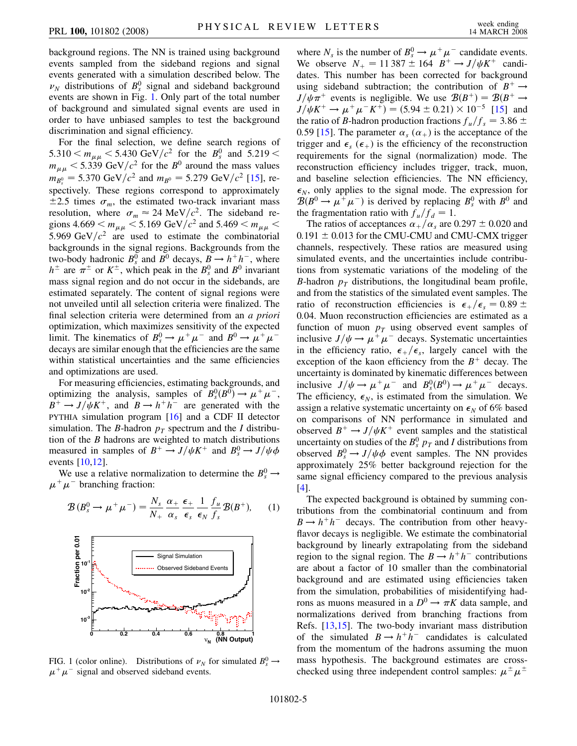background regions. The NN is trained using background events sampled from the sideband regions and signal events generated with a simulation described below. The  $\nu_N$  distributions of  $B_s^0$  signal and sideband background events are shown in Fig. [1.](#page-6-0) Only part of the total number of background and simulated signal events are used in order to have unbiased samples to test the background discrimination and signal efficiency.

For the final selection, we define search regions of  $5.310 < m_{\mu\mu} < 5.430 \text{ GeV}/c^2$  for the  $B_s^0$  and  $5.219 <$  $m_{\mu\mu}$  < 5.339 GeV/ $c^2$  for the *B*<sup>0</sup> around the mass values  $m_{B_s^0} = 5.370 \text{ GeV}/c^2$  and  $m_{B^0} = 5.279 \text{ GeV}/c^2$  [\[15\]](#page-8-31), respectively. These regions correspond to approximately  $\pm 2.5$  times  $\sigma_m$ , the estimated two-track invariant mass resolution, where  $\sigma_m \approx 24 \text{ MeV}/c^2$ . The sideband regions 4.669  $<$   $m_{\mu\mu}$   $<$  5.169 GeV/ $c^2$  and 5.469  $<$   $m_{\mu\mu}$   $<$ 5.969 GeV $/c^2$  are used to estimate the combinatorial backgrounds in the signal regions. Backgrounds from the two-body hadronic  $B_s^0$  and  $B^0$  decays,  $B \to h^+h^-$ , where  $h^{\pm}$  are  $\pi^{\pm}$  or  $K^{\pm}$ , which peak in the  $B_s^0$  and  $B^0$  invariant mass signal region and do not occur in the sidebands, are estimated separately. The content of signal regions were not unveiled until all selection criteria were finalized. The final selection criteria were determined from an *a priori* optimization, which maximizes sensitivity of the expected limit. The kinematics of  $B_s^0 \to \mu^+ \mu^-$  and  $B^0 \to \mu^+ \mu^$ decays are similar enough that the efficiencies are the same within statistical uncertainties and the same efficiencies and optimizations are used.

For measuring efficiencies, estimating backgrounds, and optimizing the analysis, samples of  $B_s^0(B^0) \to \mu^+ \mu^-$ ,  $B^+ \rightarrow J/\psi K^+$ , and  $B \rightarrow h^+ h^-$  are generated with the PYTHIA simulation program [\[16\]](#page-8-32) and a CDF II detector simulation. The *B*-hadron  $p<sub>T</sub>$  spectrum and the *I* distribution of the *B* hadrons are weighted to match distributions measured in samples of  $B^+ \to J/\psi K^+$  and  $B_s^0 \to J/\psi \phi$ events [[10](#page-8-26),[12](#page-8-28)].

We use a relative normalization to determine the  $B_s^0 \rightarrow$  $\mu^+ \mu^-$  branching fraction:

<span id="page-6-1"></span>

<span id="page-6-0"></span>

FIG. 1 (color online). Distributions of  $\nu_N$  for simulated  $B_s^0 \rightarrow$  $\mu^+ \mu^-$  signal and observed sideband events.

where  $N_s$  is the number of  $B_s^0 \to \mu^+ \mu^-$  candidate events. We observe  $N_{+} = 11387 \pm 164 \cdot B^{+} \rightarrow J/\psi K^{+}$  candidates. This number has been corrected for background using sideband subtraction; the contribution of  $B^+ \rightarrow$  $J/\psi \pi^+$  events is negligible. We use  $B(B^+) = B(B^+ \rightarrow$  $J/\psi K^+ \rightarrow \mu^+ \mu^- K^+$ ) = (5.94 ± 0.21) × 10<sup>-5</sup> [\[15](#page-8-31)] and the ratio of *B*-hadron production fractions  $f_u/f_s = 3.86 \pm$ 0.59 [[15](#page-8-31)]. The parameter  $\alpha_s(\alpha_+)$  is the acceptance of the trigger and  $\epsilon_s$  ( $\epsilon_+$ ) is the efficiency of the reconstruction requirements for the signal (normalization) mode. The reconstruction efficiency includes trigger, track, muon, and baseline selection efficiencies. The NN efficiency,  $\epsilon_N$ , only applies to the signal mode. The expression for  $\mathcal{B}(B^0 \to \mu^+ \mu^-)$  is derived by replacing  $B_s^0$  with  $B^0$  and the fragmentation ratio with  $f_u/f_d = 1$ .

The ratios of acceptances  $\alpha_{+}/\alpha_{s}$  are 0.297  $\pm$  0.020 and  $0.191 \pm 0.013$  for the CMU-CMU and CMU-CMX trigger channels, respectively. These ratios are measured using simulated events, and the uncertainties include contributions from systematic variations of the modeling of the *B*-hadron  $p<sub>T</sub>$  distributions, the longitudinal beam profile, and from the statistics of the simulated event samples. The ratio of reconstruction efficiencies is  $\epsilon_+/\epsilon_s = 0.89 \pm$ 0*:*04. Muon reconstruction efficiencies are estimated as a function of muon  $p_T$  using observed event samples of inclusive  $J/\psi \rightarrow \mu^+ \mu^-$  decays. Systematic uncertainties in the efficiency ratio,  $\epsilon_+/\epsilon_s$ , largely cancel with the exception of the kaon efficiency from the  $B<sup>+</sup>$  decay. The uncertainty is dominated by kinematic differences between inclusive  $J/\psi \rightarrow \mu^+ \mu^-$  and  $B_s^0(B^0) \rightarrow \mu^+ \mu^-$  decays. The efficiency,  $\epsilon_N$ , is estimated from the simulation. We assign a relative systematic uncertainty on  $\epsilon_N$  of 6% based on comparisons of NN performance in simulated and observed  $B^+ \rightarrow J/\psi K^+$  event samples and the statistical uncertainty on studies of the  $B_s^0$   $p_T$  and *I* distributions from observed  $B_s^0 \rightarrow J/\psi \phi$  event samples. The NN provides approximately 25% better background rejection for the same signal efficiency compared to the previous analysis [\[4\]](#page-8-21).

The expected background is obtained by summing contributions from the combinatorial continuum and from  $B \rightarrow h^+h^-$  decays. The contribution from other heavyflavor decays is negligible. We estimate the combinatorial background by linearly extrapolating from the sideband region to the signal region. The  $B \to h^+h^-$  contributions are about a factor of 10 smaller than the combinatorial background and are estimated using efficiencies taken from the simulation, probabilities of misidentifying hadrons as muons measured in a  $D^0 \rightarrow \pi K$  data sample, and normalizations derived from branching fractions from Refs. [[13](#page-8-29),[15](#page-8-31)]. The two-body invariant mass distribution of the simulated  $B \to h^+h^-$  candidates is calculated from the momentum of the hadrons assuming the muon mass hypothesis. The background estimates are crosschecked using three independent control samples:  $\mu^{\pm} \mu^{\pm}$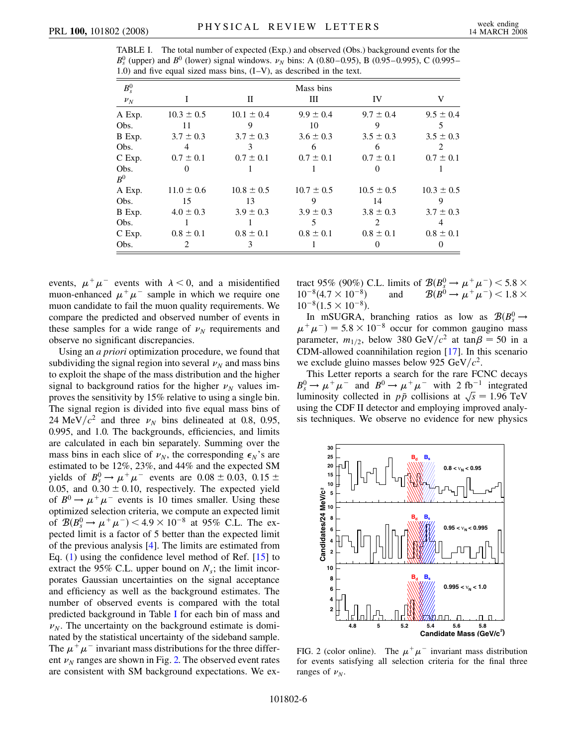<span id="page-7-0"></span>

| TABLE I. The total number of expected (Exp.) and observed (Obs.) background events for the               |  |
|----------------------------------------------------------------------------------------------------------|--|
| $B_s^0$ (upper) and $B^0$ (lower) signal windows. $\nu_N$ bins: A (0.80–0.95), B (0.95–0.995), C (0.995– |  |
| 1.0) and five equal sized mass bins, $(I-V)$ , as described in the text.                                 |  |

| $B_s^0$         | Mass bins                     |                |                |                             |                |  |
|-----------------|-------------------------------|----------------|----------------|-----------------------------|----------------|--|
| $\nu_N$         |                               | П              | Ш              | IV                          | V              |  |
| A Exp.          | $10.3 \pm 0.5$                | $10.1 \pm 0.4$ | $9.9 \pm 0.4$  | $9.7 \pm 0.4$               | $9.5 \pm 0.4$  |  |
| Obs.            | 11                            | 9              | 10             | 9                           | 5              |  |
| B Exp.          | $3.7 \pm 0.3$                 | $3.7 \pm 0.3$  | $3.6 \pm 0.3$  | $3.5 \pm 0.3$               | $3.5 \pm 0.3$  |  |
| Obs.            |                               |                | 6              |                             |                |  |
| C Exp.          | $0.7 \pm 0.1$                 | $0.7 \pm 0.1$  | $0.7 \pm 0.1$  | $0.7 \pm 0.1$               | $0.7 \pm 0.1$  |  |
| Obs.<br>$B^0\,$ | $\Omega$                      |                |                |                             |                |  |
| A Exp.          | $11.0 \pm 0.6$                | $10.8 \pm 0.5$ | $10.7 \pm 0.5$ | $10.5 \pm 0.5$              | $10.3 \pm 0.5$ |  |
| Obs.            | 15                            | 13             |                | 14                          | 9              |  |
| B Exp.          | $4.0 \pm 0.3$                 | $3.9 \pm 0.3$  | $3.9 \pm 0.3$  | $3.8 \pm 0.3$               | $3.7 \pm 0.3$  |  |
| Obs.            |                               |                |                | $\mathcal{D}_{\mathcal{A}}$ |                |  |
| C Exp.          | $0.8 \pm 0.1$                 | $0.8 \pm 0.1$  | $0.8 \pm 0.1$  | $0.8 \pm 0.1$               | $0.8 \pm 0.1$  |  |
| Obs.            | $\mathfrak{D}_{\mathfrak{p}}$ | 3              |                |                             |                |  |

events,  $\mu^+ \mu^-$  events with  $\lambda < 0$ , and a misidentified muon-enhanced  $\mu^+ \mu^-$  sample in which we require one muon candidate to fail the muon quality requirements. We compare the predicted and observed number of events in these samples for a wide range of  $\nu<sub>N</sub>$  requirements and observe no significant discrepancies.

Using an *a priori* optimization procedure, we found that subdividing the signal region into several  $\nu<sub>N</sub>$  and mass bins to exploit the shape of the mass distribution and the higher signal to background ratios for the higher  $\nu<sub>N</sub>$  values improves the sensitivity by 15% relative to using a single bin. The signal region is divided into five equal mass bins of 24 MeV/ $c^2$  and three  $\nu_N$  bins delineated at 0.8, 0.95, 0.995, and 1.0. The backgrounds, efficiencies, and limits are calculated in each bin separately. Summing over the mass bins in each slice of  $\nu_N$ , the corresponding  $\epsilon_N$ 's are estimated to be 12%, 23%, and 44% and the expected SM yields of  $B_s^0 \rightarrow \mu^+ \mu^-$  events are  $0.08 \pm 0.03$ ,  $0.15 \pm 0.03$ 0.05, and  $0.30 \pm 0.10$ , respectively. The expected yield of  $B^0 \rightarrow \mu^+ \mu^-$  events is 10 times smaller. Using these optimized selection criteria, we compute an expected limit of  $\mathcal{B}(B_s^0 \to \mu^+ \mu^-)$  < 4.9 × 10<sup>-8</sup> at 95% C.L. The expected limit is a factor of 5 better than the expected limit of the previous analysis [[4](#page-8-21)]. The limits are estimated from Eq. [\(1](#page-6-1)) using the confidence level method of Ref. [[15\]](#page-8-31) to extract the 95% C.L. upper bound on  $N_s$ ; the limit incorporates Gaussian uncertainties on the signal acceptance and efficiency as well as the background estimates. The number of observed events is compared with the total predicted background in Table [I](#page-7-0) for each bin of mass and  $\nu_N$ . The uncertainty on the background estimate is dominated by the statistical uncertainty of the sideband sample. The  $\mu^+ \mu^-$  invariant mass distributions for the three different  $\nu<sub>N</sub>$  ranges are shown in Fig. [2.](#page-7-1) The observed event rates are consistent with SM background expectations. We extract 95% (90%) C.L. limits of  $\mathcal{B}(B_s^0 \to \mu^+ \mu^-)$  < 5.8  $\times$  $10^{-8}(4.7 \times 10^{-8})$  and  $\mathcal{B}(B^0 \to \mu^+ \mu^-) < 1.8 \times$  $10^{-8}(1.5 \times 10^{-8}).$ 

In mSUGRA, branching ratios as low as  $\mathcal{B}(B_s^0 \rightarrow$  $\mu^+ \mu^-$ ) = 5.8 × 10<sup>-8</sup> occur for common gaugino mass parameter,  $m_{1/2}$ , below 380 GeV/ $c^2$  at tan $\beta = 50$  in a CDM-allowed coannihilation region [\[17\]](#page-8-33). In this scenario we exclude gluino masses below 925  $GeV/c^2$ .

This Letter reports a search for the rare FCNC decays  $B_s^0 \rightarrow \mu^+ \mu^-$  and  $B^0 \rightarrow \mu^+ \mu^-$  with 2 fb<sup>-1</sup> integrated  $B_s^* \to \mu^+ \mu^-$  and  $B^* \to \mu^+ \mu^-$  with 2 10 the expression numinosity collected in  $p\bar{p}$  collisions at  $\sqrt{s} = 1.96$  TeV using the CDF II detector and employing improved analysis techniques. We observe no evidence for new physics

<span id="page-7-1"></span>

FIG. 2 (color online). The  $\mu^+\mu^-$  invariant mass distribution for events satisfying all selection criteria for the final three ranges of  $\nu_N$ .